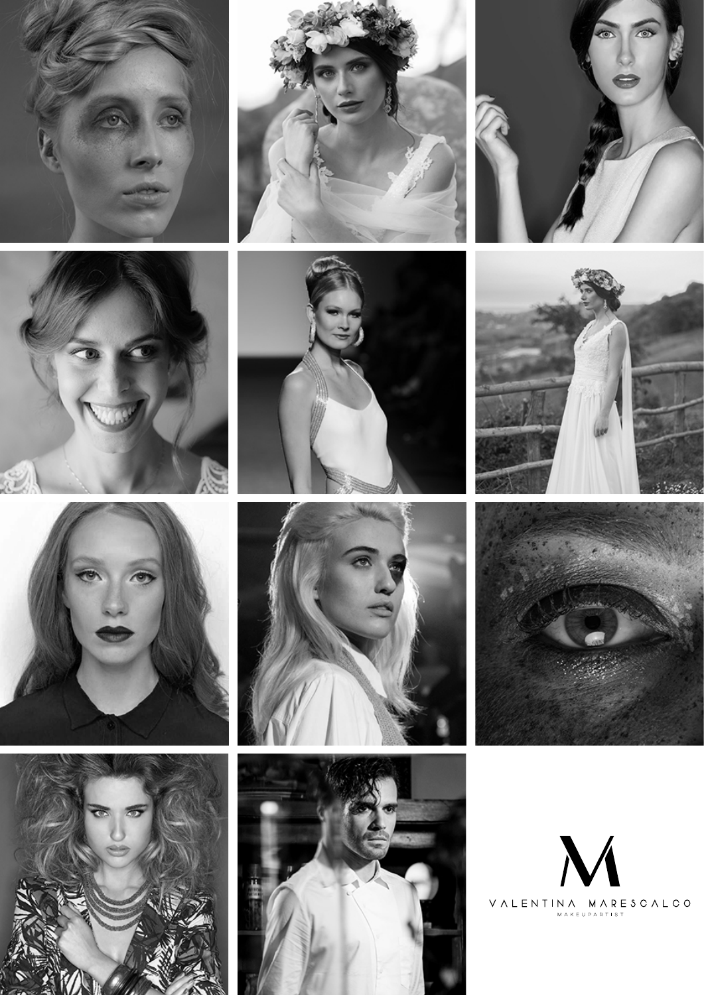





















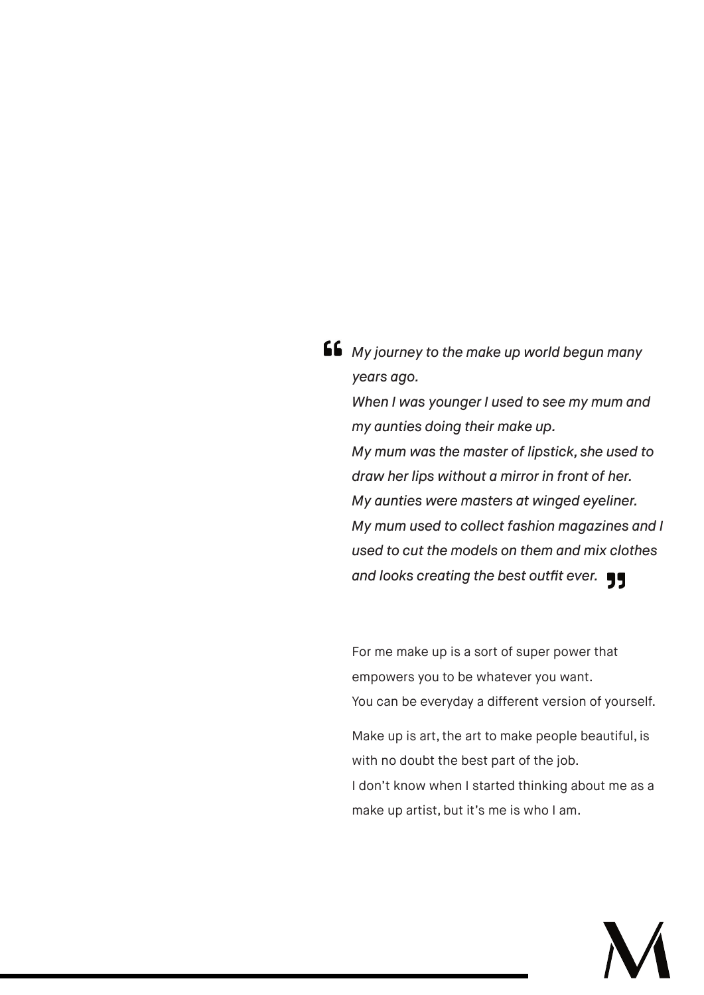*My journey to the make up world begun many years ago.*

*When I was younger I used to see my mum and my aunties doing their make up. My mum was the master of lipstick, she used to draw her lips without a mirror in front of her. My aunties were masters at winged eyeliner. My mum used to collect fashion magazines and I used to cut the models on them and mix clothes*  and looks creating the best outfit ever.  $\blacksquare$ 

For me make up is a sort of super power that empowers you to be whatever you want. You can be everyday a different version of yourself.

Make up is art, the art to make people beautiful, is with no doubt the best part of the job.

I don't know when I started thinking about me as a make up artist, but it's me is who I am.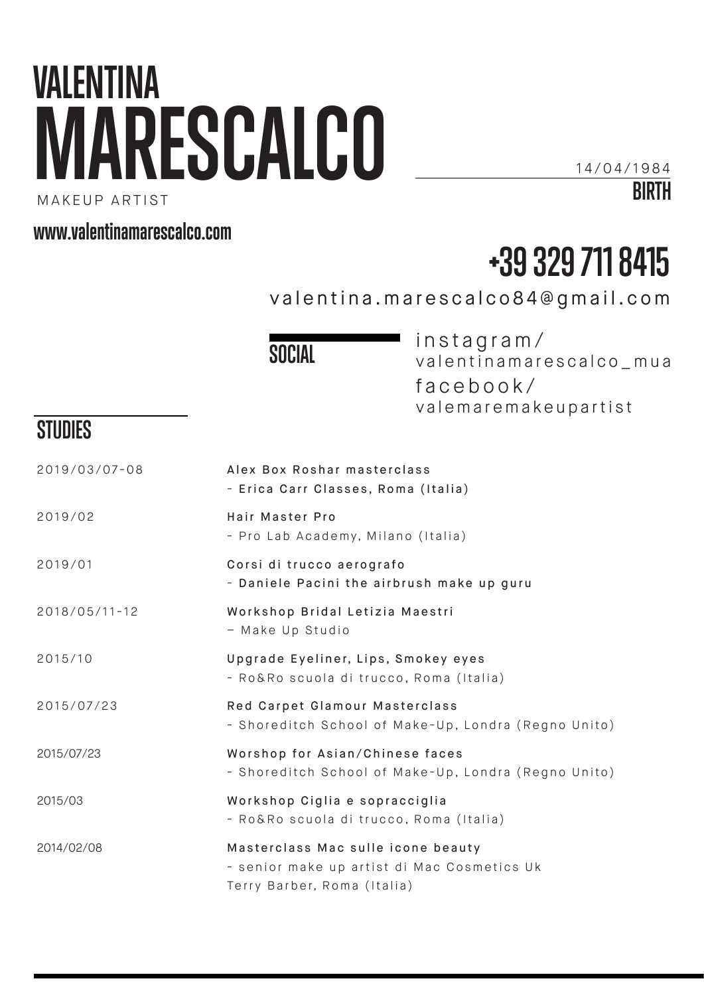# **VALENTINA MARESCALCO**

14/04/1984

**BIRTH**

MAKEUP ARTIST

#### **www.valentinamarescalco.com**

## **+39 329 711 8415**

valentina.marescalco84@gmail.com

**SOCIAL**

instagram/ valentinamarescalco\_mua facebook/ valemaremakeupartist

### **STUDIES**

| Alex Box Roshar masterclass<br>- Erica Carr Classes, Roma (Italia)                                               |
|------------------------------------------------------------------------------------------------------------------|
| Hair Master Pro<br>- Pro Lab Academy, Milano (Italia)                                                            |
| Corsi di trucco aerografo<br>- Daniele Pacini the airbrush make up guru                                          |
| Workshop Bridal Letizia Maestri<br>- Make Up Studio                                                              |
| Upgrade Eyeliner, Lips, Smokey eyes<br>- Ro&Ro scuola di trucco, Roma (Italia)                                   |
| Red Carpet Glamour Masterclass<br>- Shoreditch School of Make-Up, Londra (Regno Unito)                           |
| Worshop for Asian/Chinese faces<br>- Shoreditch School of Make-Up, Londra (Regno Unito)                          |
| Workshop Ciglia e sopracciglia<br>- Ro&Ro scuola di trucco, Roma (Italia)                                        |
| Masterclass Mac sulle icone beauty<br>- senior make up artist di Mac Cosmetics Uk<br>Terry Barber, Roma (Italia) |
|                                                                                                                  |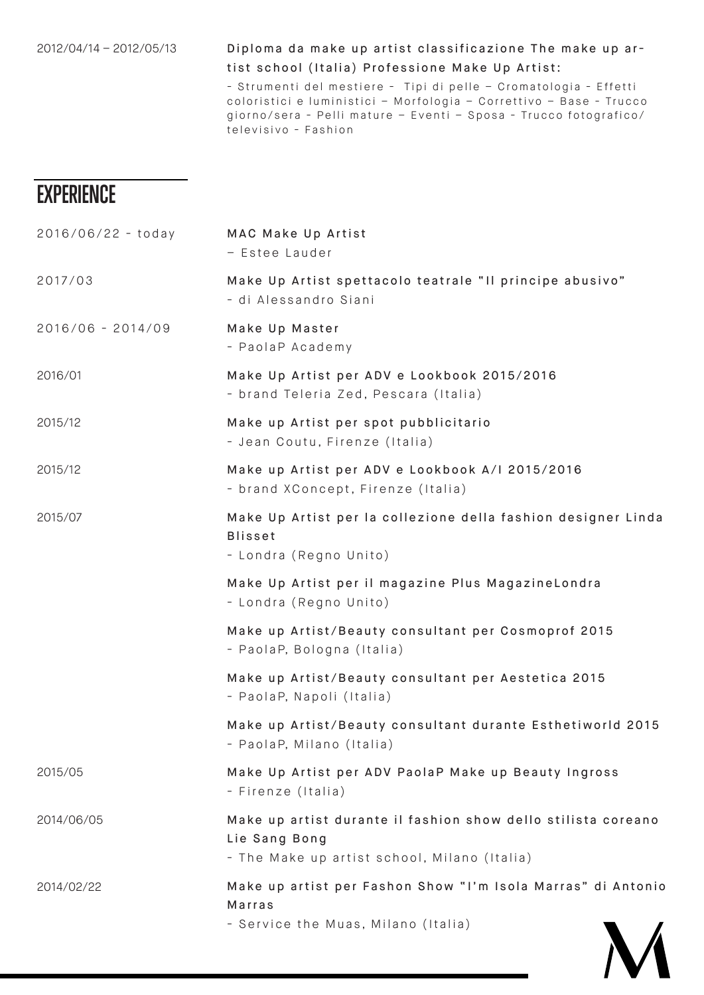#### 2012/04/14 – 2012/05/13 Diploma da make up artist classificazione The make up a r tist school (Italia) Professione Make Up Artist:

- Strumenti del mestiere - Tipi di pelle - Cromatologia - Effetti coloristici e luministici - Morfologia - Correttivo - Base - Trucco giorno/sera - Pelli mature – Eventi – Sposa - Trucco fotografico/ televisivo - Fashion

#### **EXPERIENCE**

| MAC Make Up Artist<br>- Estee Lauder                                                                                           |
|--------------------------------------------------------------------------------------------------------------------------------|
| Make Up Artist spettacolo teatrale "Il principe abusivo"<br>- di Alessandro Siani                                              |
| Make Up Master<br>- PaolaP Academy                                                                                             |
| Make Up Artist per ADV e Lookbook 2015/2016<br>- brand Teleria Zed, Pescara (Italia)                                           |
| Make up Artist per spot pubblicitario<br>- Jean Coutu, Firenze (Italia)                                                        |
| Make up Artist per ADV e Lookbook A/I 2015/2016<br>- brand XConcept, Firenze (Italia)                                          |
| Make Up Artist per la collezione della fashion designer Linda<br><b>Blisset</b><br>- Londra (Regno Unito)                      |
| Make Up Artist per il magazine Plus MagazineLondra<br>- Londra (Regno Unito)                                                   |
| Make up Artist/Beauty consultant per Cosmoprof 2015<br>- PaolaP, Bologna (Italia)                                              |
| Make up Artist/Beauty consultant per Aestetica 2015<br>- PaolaP, Napoli (Italia)                                               |
| Make up Artist/Beauty consultant durante Esthetiworld 2015<br>- PaolaP, Milano (Italia)                                        |
| Make Up Artist per ADV PaolaP Make up Beauty Ingross<br>- Firenze (Italia)                                                     |
| Make up artist durante il fashion show dello stilista coreano<br>Lie Sang Bong<br>- The Make up artist school, Milano (Italia) |
| Make up artist per Fashon Show "I'm Isola Marras" di Antonio<br>Marras<br>- Service the Muas, Milano (Italia)                  |
|                                                                                                                                |

 $\mathcal{L}$